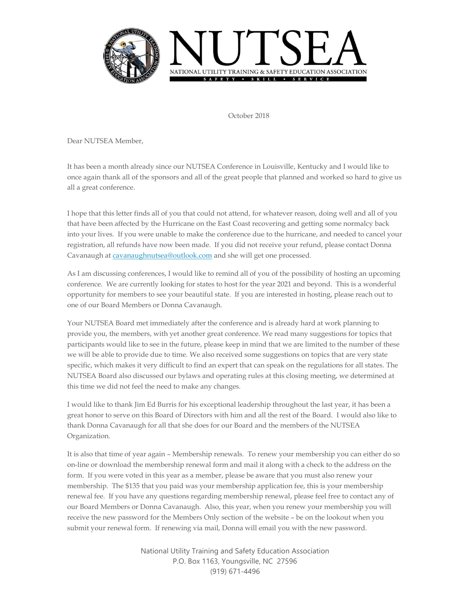

October 2018

Dear NUTSEA Member,

It has been a month already since our NUTSEA Conference in Louisville, Kentucky and I would like to once again thank all of the sponsors and all of the great people that planned and worked so hard to give us all a great conference.

I hope that this letter finds all of you that could not attend, for whatever reason, doing well and all of you that have been affected by the Hurricane on the East Coast recovering and getting some normalcy back into your lives. If you were unable to make the conference due to the hurricane, and needed to cancel your registration, all refunds have now been made. If you did not receive your refund, please contact Donna Cavanaugh at [cavanaughnutsea@outlook.com](mailto:cavanaughnutsea@outlook.com) and she will get one processed.

As I am discussing conferences, I would like to remind all of you of the possibility of hosting an upcoming conference. We are currently looking for states to host for the year 2021 and beyond. This is a wonderful opportunity for members to see your beautiful state. If you are interested in hosting, please reach out to one of our Board Members or Donna Cavanaugh.

Your NUTSEA Board met immediately after the conference and is already hard at work planning to provide you, the members, with yet another great conference. We read many suggestions for topics that participants would like to see in the future, please keep in mind that we are limited to the number of these we will be able to provide due to time. We also received some suggestions on topics that are very state specific, which makes it very difficult to find an expert that can speak on the regulations for all states. The NUTSEA Board also discussed our bylaws and operating rules at this closing meeting, we determined at this time we did not feel the need to make any changes.

I would like to thank Jim Ed Burris for his exceptional leadership throughout the last year, it has been a great honor to serve on this Board of Directors with him and all the rest of the Board. I would also like to thank Donna Cavanaugh for all that she does for our Board and the members of the NUTSEA Organization.

It is also that time of year again – Membership renewals. To renew your membership you can either do so on-line or download the membership renewal form and mail it along with a check to the address on the form. If you were voted in this year as a member, please be aware that you must also renew your membership. The \$135 that you paid was your membership application fee, this is your membership renewal fee. If you have any questions regarding membership renewal, please feel free to contact any of our Board Members or Donna Cavanaugh. Also, this year, when you renew your membership you will receive the new password for the Members Only section of the website – be on the lookout when you submit your renewal form. If renewing via mail, Donna will email you with the new password.

> National Utility Training and Safety Education Association P.O. Box 1163, Youngsville, NC 27596 (919) 671-4496